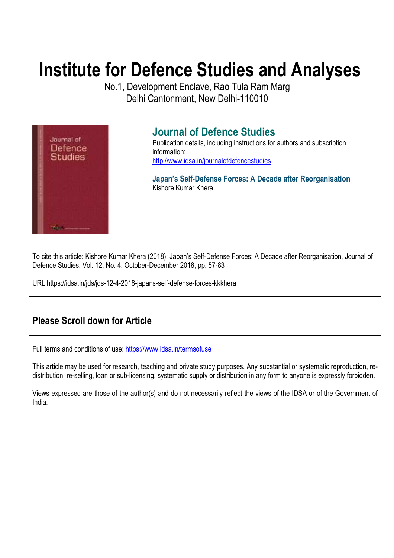# **Institute for Defence Studies and Analyses**

No.1, Development Enclave, Rao Tula Ram Marg Delhi Cantonment, New Delhi-110010



## **Journal of Defence Studies**

Publication details, including instructions for authors and subscription information: http://www.idsa.in/journalofdefencestudies

**Japan's Self-Defense Forces: A Decade after Reorganisation**  Kishore Kumar Khera

To cite this article: Kishore Kumar Khera (2018): Japan's Self-Defense Forces: A Decade after Reorganisation, Journal of Defence Studies, Vol. 12, No. 4, October-December 2018, pp. 57-83

URL https://idsa.in/jds/jds-12-4-2018-japans-self-defense-forces-kkkhera

## **Please Scroll down for Article**

Full terms and conditions of use: https://www.idsa.in/termsofuse

This article may be used for research, teaching and private study purposes. Any substantial or systematic reproduction, redistribution, re-selling, loan or sub-licensing, systematic supply or distribution in any form to anyone is expressly forbidden.

Views expressed are those of the author(s) and do not necessarily reflect the views of the IDSA or of the Government of India.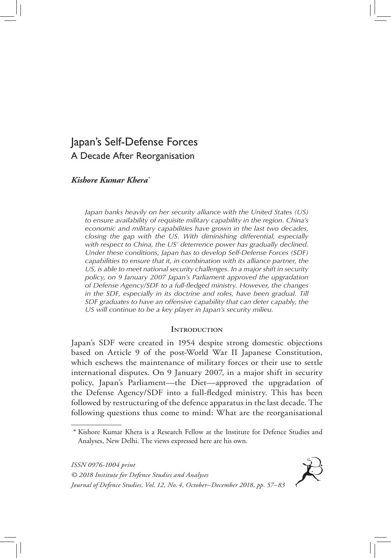### Japan's Self-Defense Forces A Decade After Reorganisation

#### *Kishore Kumar Khera\**

*Japan banks heavily on her security alliance with the United States (US) to ensure availability of requisite military capability in the region. China's economic and military capabilities have grown in the last two decades, closing the gap with the US. With diminishing differential, especially with respect to China, the US' deterrence power has gradually declined. Under these conditions, Japan has to develop Self-Defense Forces (SDF) capabilities to ensure that it, in combination with its alliance partner, the US, is able to meet national security challenges. In a major shift in security policy, on 9 January 2007 Japan's Parliament approved the upgradation of Defense Agency/SDF to a full-fledged ministry. However, the changes*  in the SDF, especially in its doctrine and roles, have been gradual. Till *SDF graduates to have an offensive capability that can deter capably, the US will continue to be a key player in Japan's security milieu.*

#### **INTRODUCTION**

Japan's SDF were created in 1954 despite strong domestic objections based on Article 9 of the post-World War II Japanese Constitution, which eschews the maintenance of military forces or their use to settle international disputes. On 9 January 2007, in a major shift in security policy, Japan's Parliament—the Diet—approved the upgradation of the Defense Agency/SDF into a full-fledged ministry. This has been followed by restructuring of the defence apparatus in the last decade. The following questions thus come to mind: What are the reorganisational

*ISSN 0976-1004 print © 2018 Institute for Defence Studies and Analyses Journal of Defence Studies, Vol. 12, No. 4, October–December 2018, pp. 57–83*



Kishore Kumar Khera is a Research Fellow at the Institute for Defence Studies and Analyses, New Delhi. The views expressed here are his own.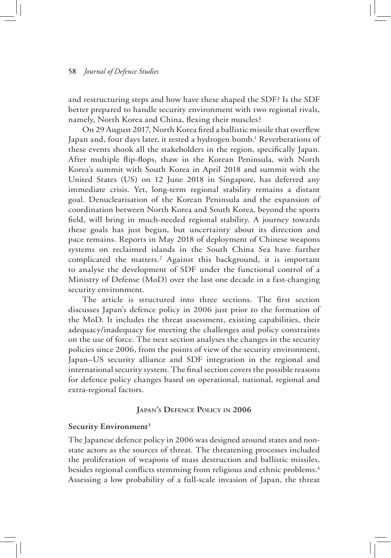and restructuring steps and how have these shaped the SDF? Is the SDF better prepared to handle security environment with two regional rivals, namely, North Korea and China, flexing their muscles?

On 29 August 2017, North Korea fired a ballistic missile that overflew Japan and, four days later, it tested a hydrogen bomb.<sup>1</sup> Reverberations of these events shook all the stakeholders in the region, specifically Japan. After multiple flip-flops, thaw in the Korean Peninsula, with North Korea's summit with South Korea in April 2018 and summit with the United States (US) on 12 June 2018 in Singapore, has deferred any immediate crisis. Yet, long-term regional stability remains a distant goal. Denuclearisation of the Korean Peninsula and the expansion of coordination between North Korea and South Korea, beyond the sports field, will bring in much-needed regional stability. A journey towards these goals has just begun, but uncertainty about its direction and pace remains. Reports in May 2018 of deployment of Chinese weapons systems on reclaimed islands in the South China Sea have further complicated the matters.<sup>2</sup> Against this background, it is important to analyse the development of SDF under the functional control of a Ministry of Defense (MoD) over the last one decade in a fast-changing security environment.

The article is structured into three sections. The first section discusses Japan's defence policy in 2006 just prior to the formation of the MoD. It includes the threat assessment, existing capabilities, their adequacy/inadequacy for meeting the challenges and policy constraints on the use of force. The next section analyses the changes in the security policies since 2006, from the points of view of the security environment, Japan–US security alliance and SDF integration in the regional and international security system. The final section covers the possible reasons for defence policy changes based on operational, national, regional and extra-regional factors.

#### **Japan's Defence Policy in 2006**

#### **Security Environment3**

The Japanese defence policy in 2006 was designed around states and nonstate actors as the sources of threat. The threatening processes included the proliferation of weapons of mass destruction and ballistic missiles, besides regional conflicts stemming from religious and ethnic problems.4 Assessing a low probability of a full-scale invasion of Japan, the threat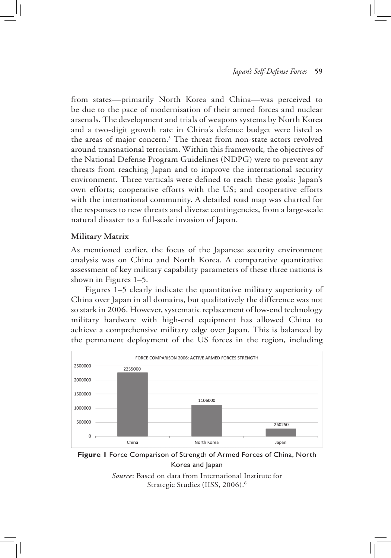from states—primarily North Korea and China—was perceived to be due to the pace of modernisation of their armed forces and nuclear arsenals. The development and trials of weapons systems by North Korea and a two-digit growth rate in China's defence budget were listed as the areas of major concern.<sup>5</sup> The threat from non-state actors revolved around transnational terrorism. Within this framework, the objectives of the National Defense Program Guidelines (NDPG) were to prevent any threats from reaching Japan and to improve the international security environment. Three verticals were defined to reach these goals: Japan's own efforts; cooperative efforts with the US; and cooperative efforts with the international community. A detailed road map was charted for the responses to new threats and diverse contingencies, from a large-scale natural disaster to a full-scale invasion of Japan.

#### **Military Matrix**

As mentioned earlier, the focus of the Japanese security environment analysis was on China and North Korea. A comparative quantitative assessment of key military capability parameters of these three nations is shown in Figures 1–5.

Figures 1–5 clearly indicate the quantitative military superiority of China over Japan in all domains, but qualitatively the difference was not so stark in 2006. However, systematic replacement of low-end technology military hardware with high-end equipment has allowed China to achieve a comprehensive military edge over Japan. This is balanced by the permanent deployment of the US forces in the region, including



**Figure 1** Force Comparison of Strength of Armed Forces of China, North Korea and Japan

*Source*: Based on data from International Institute for Strategic Studies (IISS, 2006).<sup>6</sup>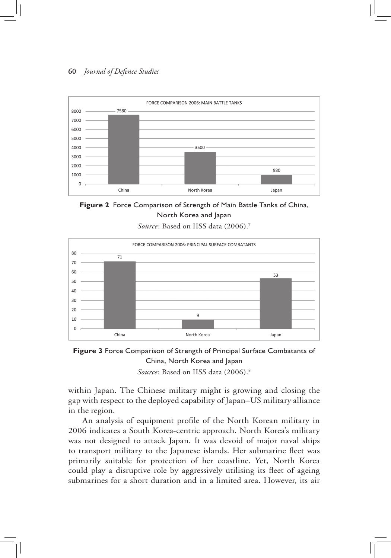

**Figure 2** Force Comparison of Strength of Main Battle Tanks of China, North Korea and Japan

*Source*: Based on IISS data (2006).7





within Japan. The Chinese military might is growing and closing the gap with respect to the deployed capability of Japan–US military alliance in the region.

An analysis of equipment profile of the North Korean military in 2006 indicates a South Korea-centric approach. North Korea's military was not designed to attack Japan. It was devoid of major naval ships to transport military to the Japanese islands. Her submarine fleet was primarily suitable for protection of her coastline. Yet, North Korea could play a disruptive role by aggressively utilising its fleet of ageing submarines for a short duration and in a limited area. However, its air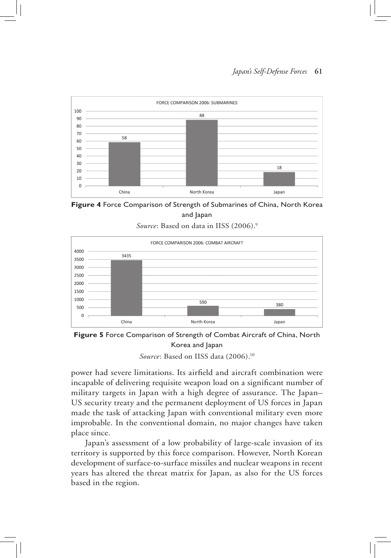

**Figure 4** Force Comparison of Strength of Submarines of China, North Korea and Japan

*Source*: Based on data in IISS (2006).<sup>9</sup>



**Figure 5** Force Comparison of Strength of Combat Aircraft of China, North Korea and Japan *Source*: Based on IISS data (2006).10

power had severe limitations. Its airfield and aircraft combination were incapable of delivering requisite weapon load on a significant number of military targets in Japan with a high degree of assurance. The Japan– US security treaty and the permanent deployment of US forces in Japan made the task of attacking Japan with conventional military even more improbable. In the conventional domain, no major changes have taken place since.

Japan's assessment of a low probability of large-scale invasion of its territory is supported by this force comparison. However, North Korean development of surface-to-surface missiles and nuclear weapons in recent years has altered the threat matrix for Japan, as also for the US forces based in the region.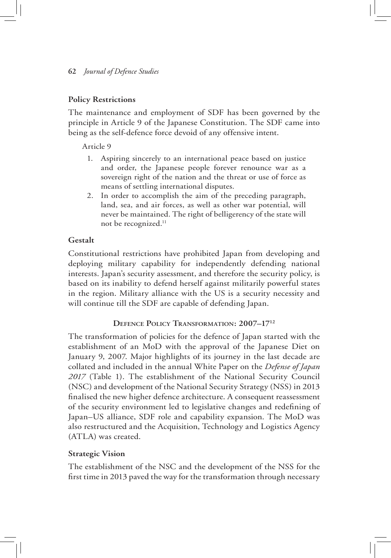#### **Policy Restrictions**

The maintenance and employment of SDF has been governed by the principle in Article 9 of the Japanese Constitution. The SDF came into being as the self-defence force devoid of any offensive intent.

Article 9

- 1. Aspiring sincerely to an international peace based on justice and order, the Japanese people forever renounce war as a sovereign right of the nation and the threat or use of force as means of settling international disputes.
- 2. In order to accomplish the aim of the preceding paragraph, land, sea, and air forces, as well as other war potential, will never be maintained. The right of belligerency of the state will not be recognized.11

#### **Gestalt**

Constitutional restrictions have prohibited Japan from developing and deploying military capability for independently defending national interests. Japan's security assessment, and therefore the security policy, is based on its inability to defend herself against militarily powerful states in the region. Military alliance with the US is a security necessity and will continue till the SDF are capable of defending Japan.

#### **Defence Policy Transformation: 2007–1712**

The transformation of policies for the defence of Japan started with the establishment of an MoD with the approval of the Japanese Diet on January 9, 2007. Major highlights of its journey in the last decade are collated and included in the annual White Paper on the *Defense of Japan 2017* (Table 1). The establishment of the National Security Council (NSC) and development of the National Security Strategy (NSS) in 2013 finalised the new higher defence architecture. A consequent reassessment of the security environment led to legislative changes and redefining of Japan–US alliance, SDF role and capability expansion. The MoD was also restructured and the Acquisition, Technology and Logistics Agency (ATLA) was created.

#### **Strategic Vision**

The establishment of the NSC and the development of the NSS for the first time in 2013 paved the way for the transformation through necessary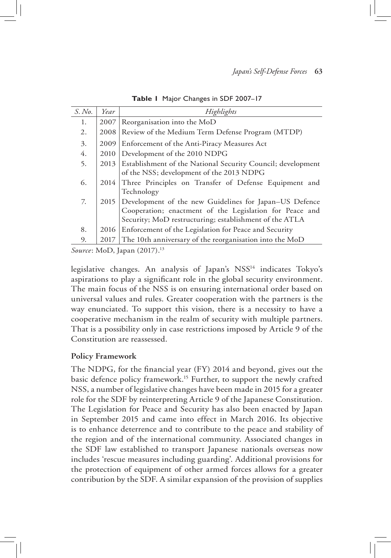| S. No. | Year | Highlights                                                  |
|--------|------|-------------------------------------------------------------|
| 1.     | 2007 | Reorganisation into the MoD                                 |
| 2.     | 2008 | Review of the Medium Term Defense Program (MTDP)            |
| 3.     | 2009 | Enforcement of the Anti-Piracy Measures Act                 |
| 4.     | 2010 | Development of the 2010 NDPG                                |
| 5.     | 2013 | Establishment of the National Security Council; development |
|        |      | of the NSS; development of the 2013 NDPG                    |
| 6.     | 2014 | Three Principles on Transfer of Defense Equipment and       |
|        |      | Technology                                                  |
| 7.     | 2015 | Development of the new Guidelines for Japan-US Defence      |
|        |      | Cooperation; enactment of the Legislation for Peace and     |
|        |      | Security; MoD restructuring; establishment of the ATLA      |
| 8.     | 2016 | Enforcement of the Legislation for Peace and Security       |
| 9.     | 2017 | The 10th anniversary of the reorganisation into the MoD     |

**Table 1** Major Changes in SDF 2007–17

*Source*: MoD, Japan (2017).<sup>13</sup>

legislative changes. An analysis of Japan's NSS14 indicates Tokyo's aspirations to play a significant role in the global security environment. The main focus of the NSS is on ensuring international order based on universal values and rules. Greater cooperation with the partners is the way enunciated. To support this vision, there is a necessity to have a cooperative mechanism in the realm of security with multiple partners. That is a possibility only in case restrictions imposed by Article 9 of the Constitution are reassessed.

#### **Policy Framework**

The NDPG, for the financial year (FY) 2014 and beyond, gives out the basic defence policy framework.15 Further, to support the newly crafted NSS, a number of legislative changes have been made in 2015 for a greater role for the SDF by reinterpreting Article 9 of the Japanese Constitution. The Legislation for Peace and Security has also been enacted by Japan in September 2015 and came into effect in March 2016. Its objective is to enhance deterrence and to contribute to the peace and stability of the region and of the international community. Associated changes in the SDF law established to transport Japanese nationals overseas now includes 'rescue measures including guarding'. Additional provisions for the protection of equipment of other armed forces allows for a greater contribution by the SDF. A similar expansion of the provision of supplies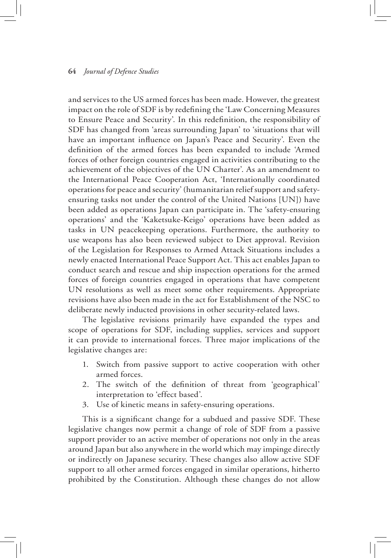and services to the US armed forces has been made. However, the greatest impact on the role of SDF is by redefining the 'Law Concerning Measures to Ensure Peace and Security'. In this redefinition, the responsibility of SDF has changed from 'areas surrounding Japan' to 'situations that will have an important influence on Japan's Peace and Security'. Even the definition of the armed forces has been expanded to include 'Armed forces of other foreign countries engaged in activities contributing to the achievement of the objectives of the UN Charter'. As an amendment to the International Peace Cooperation Act, 'Internationally coordinated operations for peace and security' (humanitarian relief support and safetyensuring tasks not under the control of the United Nations [UN]) have been added as operations Japan can participate in. The 'safety-ensuring operations' and the 'Kaketsuke-Keigo' operations have been added as tasks in UN peacekeeping operations. Furthermore, the authority to use weapons has also been reviewed subject to Diet approval. Revision of the Legislation for Responses to Armed Attack Situations includes a newly enacted International Peace Support Act. This act enables Japan to conduct search and rescue and ship inspection operations for the armed forces of foreign countries engaged in operations that have competent UN resolutions as well as meet some other requirements. Appropriate revisions have also been made in the act for Establishment of the NSC to deliberate newly inducted provisions in other security-related laws.

The legislative revisions primarily have expanded the types and scope of operations for SDF, including supplies, services and support it can provide to international forces. Three major implications of the legislative changes are:

- 1. Switch from passive support to active cooperation with other armed forces.
- 2. The switch of the definition of threat from 'geographical' interpretation to 'effect based'.
- 3. Use of kinetic means in safety-ensuring operations.

This is a significant change for a subdued and passive SDF. These legislative changes now permit a change of role of SDF from a passive support provider to an active member of operations not only in the areas around Japan but also anywhere in the world which may impinge directly or indirectly on Japanese security. These changes also allow active SDF support to all other armed forces engaged in similar operations, hitherto prohibited by the Constitution. Although these changes do not allow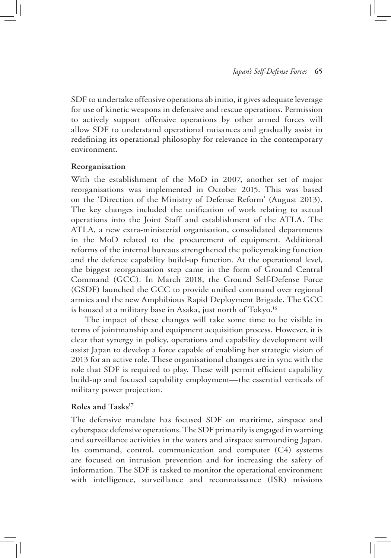SDF to undertake offensive operations ab initio, it gives adequate leverage for use of kinetic weapons in defensive and rescue operations. Permission to actively support offensive operations by other armed forces will allow SDF to understand operational nuisances and gradually assist in redefining its operational philosophy for relevance in the contemporary environment.

#### **Reorganisation**

With the establishment of the MoD in 2007, another set of major reorganisations was implemented in October 2015. This was based on the 'Direction of the Ministry of Defense Reform' (August 2013). The key changes included the unification of work relating to actual operations into the Joint Staff and establishment of the ATLA. The ATLA, a new extra-ministerial organisation, consolidated departments in the MoD related to the procurement of equipment. Additional reforms of the internal bureaus strengthened the policymaking function and the defence capability build-up function. At the operational level, the biggest reorganisation step came in the form of Ground Central Command (GCC). In March 2018, the Ground Self-Defense Force (GSDF) launched the GCC to provide unified command over regional armies and the new Amphibious Rapid Deployment Brigade. The GCC is housed at a military base in Asaka, just north of Tokyo.<sup>16</sup>

The impact of these changes will take some time to be visible in terms of jointmanship and equipment acquisition process. However, it is clear that synergy in policy, operations and capability development will assist Japan to develop a force capable of enabling her strategic vision of 2013 for an active role. These organisational changes are in sync with the role that SDF is required to play. These will permit efficient capability build-up and focused capability employment—the essential verticals of military power projection.

#### **Roles and Tasks17**

The defensive mandate has focused SDF on maritime, airspace and cyberspace defensive operations. The SDF primarily is engaged in warning and surveillance activities in the waters and airspace surrounding Japan. Its command, control, communication and computer (C4) systems are focused on intrusion prevention and for increasing the safety of information. The SDF is tasked to monitor the operational environment with intelligence, surveillance and reconnaissance (ISR) missions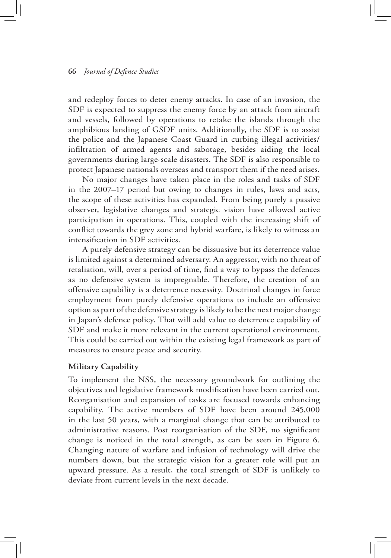and redeploy forces to deter enemy attacks. In case of an invasion, the SDF is expected to suppress the enemy force by an attack from aircraft and vessels, followed by operations to retake the islands through the amphibious landing of GSDF units. Additionally, the SDF is to assist the police and the Japanese Coast Guard in curbing illegal activities/ infiltration of armed agents and sabotage, besides aiding the local governments during large-scale disasters. The SDF is also responsible to protect Japanese nationals overseas and transport them if the need arises.

No major changes have taken place in the roles and tasks of SDF in the 2007–17 period but owing to changes in rules, laws and acts, the scope of these activities has expanded. From being purely a passive observer, legislative changes and strategic vision have allowed active participation in operations. This, coupled with the increasing shift of conflict towards the grey zone and hybrid warfare, is likely to witness an intensification in SDF activities.

A purely defensive strategy can be dissuasive but its deterrence value is limited against a determined adversary. An aggressor, with no threat of retaliation, will, over a period of time, find a way to bypass the defences as no defensive system is impregnable. Therefore, the creation of an offensive capability is a deterrence necessity. Doctrinal changes in force employment from purely defensive operations to include an offensive option as part of the defensive strategy is likely to be the next major change in Japan's defence policy. That will add value to deterrence capability of SDF and make it more relevant in the current operational environment. This could be carried out within the existing legal framework as part of measures to ensure peace and security.

#### **Military Capability**

To implement the NSS, the necessary groundwork for outlining the objectives and legislative framework modification have been carried out. Reorganisation and expansion of tasks are focused towards enhancing capability. The active members of SDF have been around 245,000 in the last 50 years, with a marginal change that can be attributed to administrative reasons. Post reorganisation of the SDF, no significant change is noticed in the total strength, as can be seen in Figure 6. Changing nature of warfare and infusion of technology will drive the numbers down, but the strategic vision for a greater role will put an upward pressure. As a result, the total strength of SDF is unlikely to deviate from current levels in the next decade.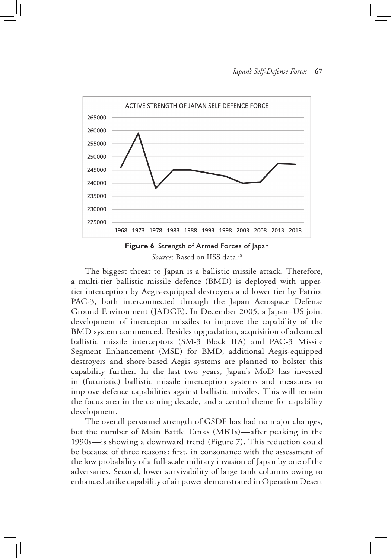



The biggest threat to Japan is a ballistic missile attack. Therefore, a multi-tier ballistic missile defence (BMD) is deployed with uppertier interception by Aegis-equipped destroyers and lower tier by Patriot PAC-3, both interconnected through the Japan Aerospace Defense Ground Environment (JADGE). In December 2005, a Japan–US joint development of interceptor missiles to improve the capability of the BMD system commenced. Besides upgradation, acquisition of advanced ballistic missile interceptors (SM-3 Block IIA) and PAC-3 Missile Segment Enhancement (MSE) for BMD, additional Aegis-equipped destroyers and shore-based Aegis systems are planned to bolster this capability further. In the last two years, Japan's MoD has invested in (futuristic) ballistic missile interception systems and measures to improve defence capabilities against ballistic missiles. This will remain the focus area in the coming decade, and a central theme for capability development.

The overall personnel strength of GSDF has had no major changes, but the number of Main Battle Tanks (MBTs)—after peaking in the 1990s—is showing a downward trend (Figure 7). This reduction could be because of three reasons: first, in consonance with the assessment of the low probability of a full-scale military invasion of Japan by one of the adversaries. Second, lower survivability of large tank columns owing to enhanced strike capability of air power demonstrated in Operation Desert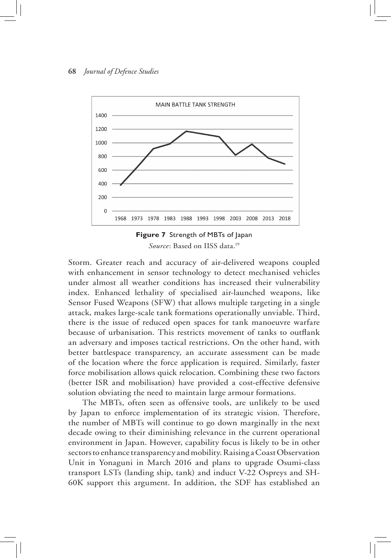



Storm. Greater reach and accuracy of air-delivered weapons coupled with enhancement in sensor technology to detect mechanised vehicles under almost all weather conditions has increased their vulnerability index. Enhanced lethality of specialised air-launched weapons, like Sensor Fused Weapons (SFW) that allows multiple targeting in a single attack, makes large-scale tank formations operationally unviable. Third, there is the issue of reduced open spaces for tank manoeuvre warfare because of urbanisation. This restricts movement of tanks to outflank an adversary and imposes tactical restrictions. On the other hand, with better battlespace transparency, an accurate assessment can be made of the location where the force application is required. Similarly, faster force mobilisation allows quick relocation. Combining these two factors (better ISR and mobilisation) have provided a cost-effective defensive solution obviating the need to maintain large armour formations.

The MBTs, often seen as offensive tools, are unlikely to be used by Japan to enforce implementation of its strategic vision. Therefore, the number of MBTs will continue to go down marginally in the next decade owing to their diminishing relevance in the current operational environment in Japan. However, capability focus is likely to be in other sectors to enhance transparency and mobility. Raising a Coast Observation Unit in Yonaguni in March 2016 and plans to upgrade Osumi-class transport LSTs (landing ship, tank) and induct V-22 Ospreys and SH-60K support this argument. In addition, the SDF has established an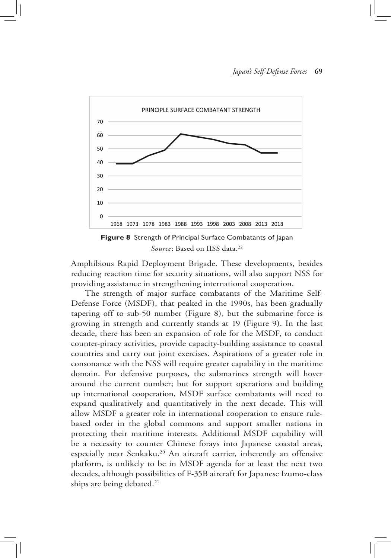

**Figure 8** Strength of Principal Surface Combatants of Japan Source: Based on IISS data.<sup>22</sup>

Amphibious Rapid Deployment Brigade. These developments, besides reducing reaction time for security situations, will also support NSS for providing assistance in strengthening international cooperation.

The strength of major surface combatants of the Maritime Self-Defense Force (MSDF), that peaked in the 1990s, has been gradually tapering off to sub-50 number (Figure 8), but the submarine force is growing in strength and currently stands at 19 (Figure 9). In the last decade, there has been an expansion of role for the MSDF, to conduct counter-piracy activities, provide capacity-building assistance to coastal countries and carry out joint exercises. Aspirations of a greater role in consonance with the NSS will require greater capability in the maritime domain. For defensive purposes, the submarines strength will hover around the current number; but for support operations and building up international cooperation, MSDF surface combatants will need to expand qualitatively and quantitatively in the next decade. This will allow MSDF a greater role in international cooperation to ensure rulebased order in the global commons and support smaller nations in protecting their maritime interests. Additional MSDF capability will be a necessity to counter Chinese forays into Japanese coastal areas, especially near Senkaku.<sup>20</sup> An aircraft carrier, inherently an offensive platform, is unlikely to be in MSDF agenda for at least the next two decades, although possibilities of F-35B aircraft for Japanese Izumo-class ships are being debated.<sup>21</sup>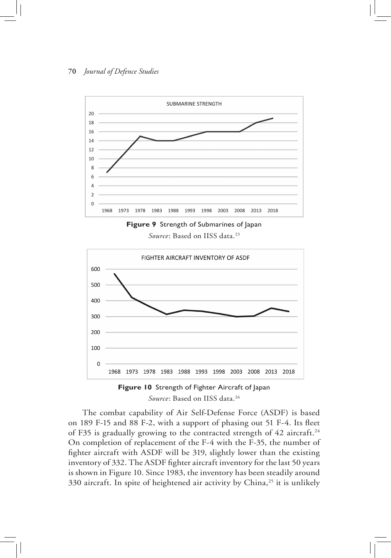



Source: Based on IISS data.<sup>23</sup>





The combat capability of Air Self-Defense Force (ASDF) is based on 189 F-15 and 88 F-2, with a support of phasing out 51 F-4. Its fleet of F35 is gradually growing to the contracted strength of 42 aircraft.<sup>24</sup> On completion of replacement of the F-4 with the F-35, the number of fighter aircraft with ASDF will be 319, slightly lower than the existing inventory of 332. The ASDF fighter aircraft inventory for the last 50 years is shown in Figure 10. Since 1983, the inventory has been steadily around 330 aircraft. In spite of heightened air activity by China,<sup>25</sup> it is unlikely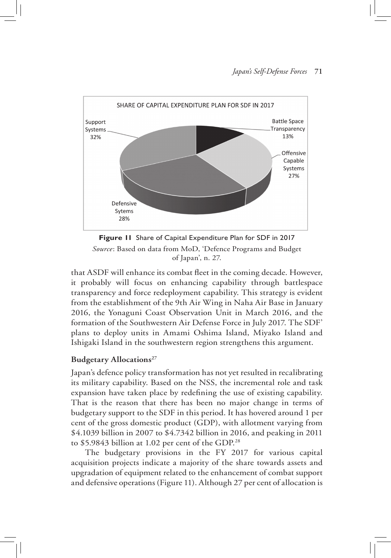#### *Japan's Self-Defense Forces* **71**



**Figure 11** Share of Capital Expenditure Plan for SDF in 2017 *Source*: Based on data from MoD, 'Defence Programs and Budget of Japan', n. 27.

that ASDF will enhance its combat fleet in the coming decade. However, it probably will focus on enhancing capability through battlespace transparency and force redeployment capability. This strategy is evident from the establishment of the 9th Air Wing in Naha Air Base in January 2016, the Yonaguni Coast Observation Unit in March 2016, and the formation of the Southwestern Air Defense Force in July 2017. The SDF' plans to deploy units in Amami Oshima Island, Miyako Island and Ishigaki Island in the southwestern region strengthens this argument.

#### **Budgetary Allocations**<sup>27</sup>

Japan's defence policy transformation has not yet resulted in recalibrating its military capability. Based on the NSS, the incremental role and task expansion have taken place by redefining the use of existing capability. That is the reason that there has been no major change in terms of budgetary support to the SDF in this period. It has hovered around 1 per cent of the gross domestic product (GDP), with allotment varying from \$4.1039 billion in 2007 to \$4.7342 billion in 2016, and peaking in 2011 to \$5.9843 billion at 1.02 per cent of the GDP.<sup>28</sup>

The budgetary provisions in the FY 2017 for various capital acquisition projects indicate a majority of the share towards assets and upgradation of equipment related to the enhancement of combat support and defensive operations (Figure 11). Although 27 per cent of allocation is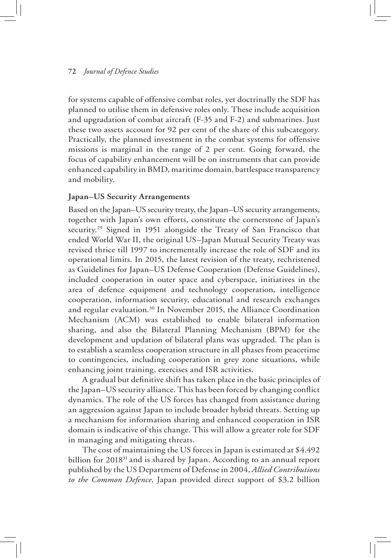for systems capable of offensive combat roles, yet doctrinally the SDF has planned to utilise them in defensive roles only. These include acquisition and upgradation of combat aircraft (F-35 and F-2) and submarines. Just these two assets account for 92 per cent of the share of this subcategory. Practically, the planned investment in the combat systems for offensive missions is marginal in the range of 2 per cent. Going forward, the focus of capability enhancement will be on instruments that can provide enhanced capability in BMD, maritime domain, battlespace transparency and mobility.

#### **Japan–US Security Arrangements**

Based on the Japan–US security treaty, the Japan–US security arrangements, together with Japan's own efforts, constitute the cornerstone of Japan's security.<sup>29</sup> Signed in 1951 alongside the Treaty of San Francisco that ended World War II, the original US–Japan Mutual Security Treaty was revised thrice till 1997 to incrementally increase the role of SDF and its operational limits. In 2015, the latest revision of the treaty, rechristened as Guidelines for Japan–US Defense Cooperation (Defense Guidelines), included cooperation in outer space and cyberspace, initiatives in the area of defence equipment and technology cooperation, intelligence cooperation, information security, educational and research exchanges and regular evaluation.30 In November 2015, the Alliance Coordination Mechanism (ACM) was established to enable bilateral information sharing, and also the Bilateral Planning Mechanism (BPM) for the development and updation of bilateral plans was upgraded. The plan is to establish a seamless cooperation structure in all phases from peacetime to contingencies, including cooperation in grey zone situations, while enhancing joint training, exercises and ISR activities.

A gradual but definitive shift has taken place in the basic principles of the Japan–US security alliance. This has been forced by changing conflict dynamics. The role of the US forces has changed from assistance during an aggression against Japan to include broader hybrid threats. Setting up a mechanism for information sharing and enhanced cooperation in ISR domain is indicative of this change. This will allow a greater role for SDF in managing and mitigating threats.

The cost of maintaining the US forces in Japan is estimated at \$4.492 billion for 2018<sup>31</sup> and is shared by Japan. According to an annual report published by the US Department of Defense in 2004, *Allied Contributions to the Common Defence*, Japan provided direct support of \$3.2 billion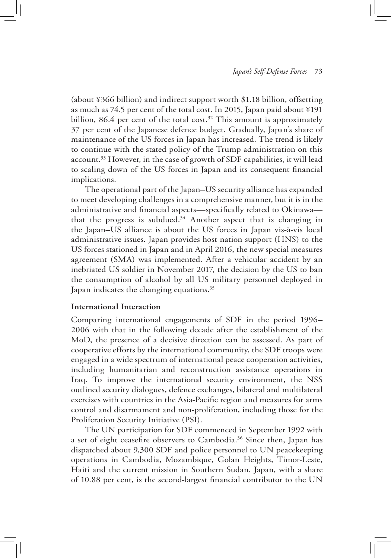(about ¥366 billion) and indirect support worth \$1.18 billion, offsetting as much as 74.5 per cent of the total cost. In 2015, Japan paid about ¥191 billion, 86.4 per cent of the total cost.<sup>32</sup> This amount is approximately 37 per cent of the Japanese defence budget. Gradually, Japan's share of maintenance of the US forces in Japan has increased. The trend is likely to continue with the stated policy of the Trump administration on this account.33 However, in the case of growth of SDF capabilities, it will lead to scaling down of the US forces in Japan and its consequent financial implications.

The operational part of the Japan–US security alliance has expanded to meet developing challenges in a comprehensive manner, but it is in the administrative and financial aspects—specifically related to Okinawa that the progress is subdued.<sup>34</sup> Another aspect that is changing in the Japan–US alliance is about the US forces in Japan vis-à-vis local administrative issues. Japan provides host nation support (HNS) to the US forces stationed in Japan and in April 2016, the new special measures agreement (SMA) was implemented. After a vehicular accident by an inebriated US soldier in November 2017, the decision by the US to ban the consumption of alcohol by all US military personnel deployed in Japan indicates the changing equations.<sup>35</sup>

#### **International Interaction**

Comparing international engagements of SDF in the period 1996– 2006 with that in the following decade after the establishment of the MoD, the presence of a decisive direction can be assessed. As part of cooperative efforts by the international community, the SDF troops were engaged in a wide spectrum of international peace cooperation activities, including humanitarian and reconstruction assistance operations in Iraq. To improve the international security environment, the NSS outlined security dialogues, defence exchanges, bilateral and multilateral exercises with countries in the Asia-Pacific region and measures for arms control and disarmament and non-proliferation, including those for the Proliferation Security Initiative (PSI).

The UN participation for SDF commenced in September 1992 with a set of eight ceasefire observers to Cambodia.<sup>36</sup> Since then, Japan has dispatched about 9,300 SDF and police personnel to UN peacekeeping operations in Cambodia, Mozambique, Golan Heights, Timor-Leste, Haiti and the current mission in Southern Sudan. Japan, with a share of 10.88 per cent, is the second-largest financial contributor to the UN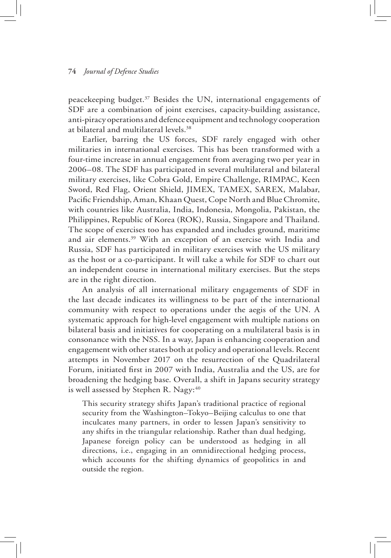peacekeeping budget.37 Besides the UN, international engagements of SDF are a combination of joint exercises, capacity-building assistance, anti-piracy operations and defence equipment and technology cooperation at bilateral and multilateral levels.38

Earlier, barring the US forces, SDF rarely engaged with other militaries in international exercises. This has been transformed with a four-time increase in annual engagement from averaging two per year in 2006–08. The SDF has participated in several multilateral and bilateral military exercises, like Cobra Gold, Empire Challenge, RIMPAC, Keen Sword, Red Flag, Orient Shield, JIMEX, TAMEX, SAREX, Malabar, Pacific Friendship, Aman, Khaan Quest, Cope North and Blue Chromite, with countries like Australia, India, Indonesia, Mongolia, Pakistan, the Philippines, Republic of Korea (ROK), Russia, Singapore and Thailand. The scope of exercises too has expanded and includes ground, maritime and air elements.39 With an exception of an exercise with India and Russia, SDF has participated in military exercises with the US military as the host or a co-participant. It will take a while for SDF to chart out an independent course in international military exercises. But the steps are in the right direction.

An analysis of all international military engagements of SDF in the last decade indicates its willingness to be part of the international community with respect to operations under the aegis of the UN. A systematic approach for high-level engagement with multiple nations on bilateral basis and initiatives for cooperating on a multilateral basis is in consonance with the NSS. In a way, Japan is enhancing cooperation and engagement with other states both at policy and operational levels. Recent attempts in November 2017 on the resurrection of the Quadrilateral Forum, initiated first in 2007 with India, Australia and the US, are for broadening the hedging base. Overall, a shift in Japans security strategy is well assessed by Stephen R. Nagy: $40$ 

This security strategy shifts Japan's traditional practice of regional security from the Washington–Tokyo–Beijing calculus to one that inculcates many partners, in order to lessen Japan's sensitivity to any shifts in the triangular relationship. Rather than dual hedging, Japanese foreign policy can be understood as hedging in all directions, i.e., engaging in an omnidirectional hedging process, which accounts for the shifting dynamics of geopolitics in and outside the region.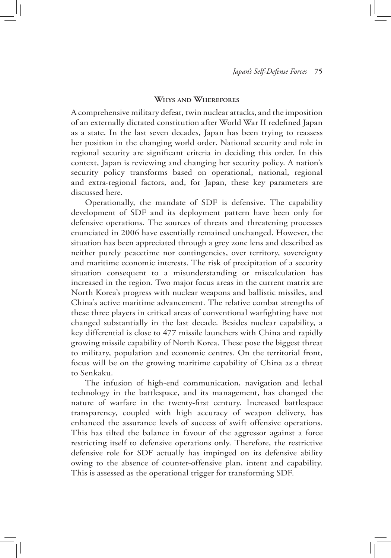#### **Whys and Wherefores**

A comprehensive military defeat, twin nuclear attacks, and the imposition of an externally dictated constitution after World War II redefined Japan as a state. In the last seven decades, Japan has been trying to reassess her position in the changing world order. National security and role in regional security are significant criteria in deciding this order. In this context, Japan is reviewing and changing her security policy. A nation's security policy transforms based on operational, national, regional and extra-regional factors, and, for Japan, these key parameters are discussed here.

Operationally, the mandate of SDF is defensive. The capability development of SDF and its deployment pattern have been only for defensive operations. The sources of threats and threatening processes enunciated in 2006 have essentially remained unchanged. However, the situation has been appreciated through a grey zone lens and described as neither purely peacetime nor contingencies, over territory, sovereignty and maritime economic interests. The risk of precipitation of a security situation consequent to a misunderstanding or miscalculation has increased in the region. Two major focus areas in the current matrix are North Korea's progress with nuclear weapons and ballistic missiles, and China's active maritime advancement. The relative combat strengths of these three players in critical areas of conventional warfighting have not changed substantially in the last decade. Besides nuclear capability, a key differential is close to 477 missile launchers with China and rapidly growing missile capability of North Korea. These pose the biggest threat to military, population and economic centres. On the territorial front, focus will be on the growing maritime capability of China as a threat to Senkaku.

The infusion of high-end communication, navigation and lethal technology in the battlespace, and its management, has changed the nature of warfare in the twenty-first century. Increased battlespace transparency, coupled with high accuracy of weapon delivery, has enhanced the assurance levels of success of swift offensive operations. This has tilted the balance in favour of the aggressor against a force restricting itself to defensive operations only. Therefore, the restrictive defensive role for SDF actually has impinged on its defensive ability owing to the absence of counter-offensive plan, intent and capability. This is assessed as the operational trigger for transforming SDF.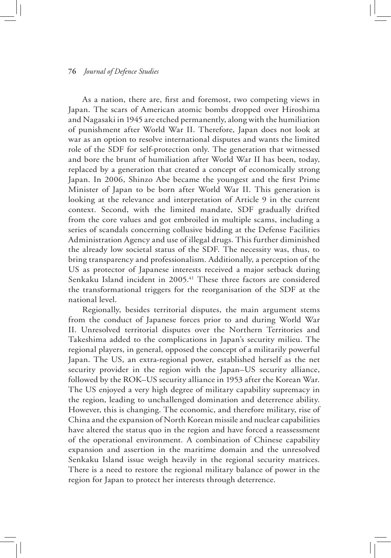As a nation, there are, first and foremost, two competing views in Japan. The scars of American atomic bombs dropped over Hiroshima and Nagasaki in 1945 are etched permanently, along with the humiliation of punishment after World War II. Therefore, Japan does not look at war as an option to resolve international disputes and wants the limited role of the SDF for self-protection only. The generation that witnessed and bore the brunt of humiliation after World War II has been, today, replaced by a generation that created a concept of economically strong Japan. In 2006, Shinzo Abe became the youngest and the first Prime Minister of Japan to be born after World War II. This generation is looking at the relevance and interpretation of Article 9 in the current context. Second, with the limited mandate, SDF gradually drifted from the core values and got embroiled in multiple scams, including a series of scandals concerning collusive bidding at the Defense Facilities Administration Agency and use of illegal drugs. This further diminished the already low societal status of the SDF. The necessity was, thus, to bring transparency and professionalism. Additionally, a perception of the US as protector of Japanese interests received a major setback during Senkaku Island incident in 2005.<sup>41</sup> These three factors are considered the transformational triggers for the reorganisation of the SDF at the national level.

Regionally, besides territorial disputes, the main argument stems from the conduct of Japanese forces prior to and during World War II. Unresolved territorial disputes over the Northern Territories and Takeshima added to the complications in Japan's security milieu. The regional players, in general, opposed the concept of a militarily powerful Japan. The US, an extra-regional power, established herself as the net security provider in the region with the Japan–US security alliance, followed by the ROK–US security alliance in 1953 after the Korean War. The US enjoyed a very high degree of military capability supremacy in the region, leading to unchallenged domination and deterrence ability. However, this is changing. The economic, and therefore military, rise of China and the expansion of North Korean missile and nuclear capabilities have altered the status quo in the region and have forced a reassessment of the operational environment. A combination of Chinese capability expansion and assertion in the maritime domain and the unresolved Senkaku Island issue weigh heavily in the regional security matrices. There is a need to restore the regional military balance of power in the region for Japan to protect her interests through deterrence.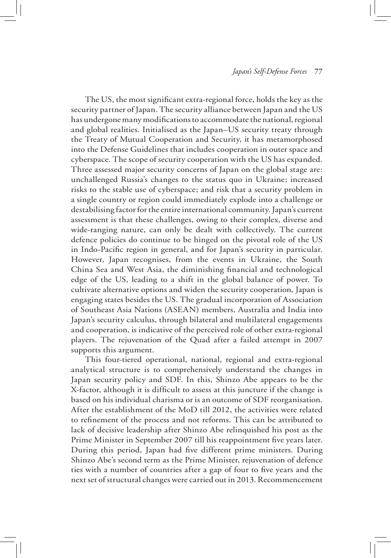The US, the most significant extra-regional force, holds the key as the security partner of Japan. The security alliance between Japan and the US has undergone many modifications to accommodate the national, regional and global realities. Initialised as the Japan–US security treaty through the Treaty of Mutual Cooperation and Security, it has metamorphosed into the Defense Guidelines that includes cooperation in outer space and cyberspace. The scope of security cooperation with the US has expanded. Three assessed major security concerns of Japan on the global stage are: unchallenged Russia's changes to the status quo in Ukraine; increased risks to the stable use of cyberspace; and risk that a security problem in a single country or region could immediately explode into a challenge or destabilising factor for the entire international community. Japan's current assessment is that these challenges, owing to their complex, diverse and wide-ranging nature, can only be dealt with collectively. The current defence policies do continue to be hinged on the pivotal role of the US in Indo-Pacific region in general, and for Japan's security in particular. However, Japan recognises, from the events in Ukraine, the South China Sea and West Asia, the diminishing financial and technological edge of the US, leading to a shift in the global balance of power. To cultivate alternative options and widen the security cooperation, Japan is engaging states besides the US. The gradual incorporation of Association of Southeast Asia Nations (ASEAN) members, Australia and India into Japan's security calculus, through bilateral and multilateral engagements and cooperation, is indicative of the perceived role of other extra-regional players. The rejuvenation of the Quad after a failed attempt in 2007 supports this argument.

This four-tiered operational, national, regional and extra-regional analytical structure is to comprehensively understand the changes in Japan security policy and SDF. In this, Shinzo Abe appears to be the X-factor, although it is difficult to assess at this juncture if the change is based on his individual charisma or is an outcome of SDF reorganisation. After the establishment of the MoD till 2012, the activities were related to refinement of the process and not reforms. This can be attributed to lack of decisive leadership after Shinzo Abe relinquished his post as the Prime Minister in September 2007 till his reappointment five years later. During this period, Japan had five different prime ministers. During Shinzo Abe's second term as the Prime Minister, rejuvenation of defence ties with a number of countries after a gap of four to five years and the next set of structural changes were carried out in 2013. Recommencement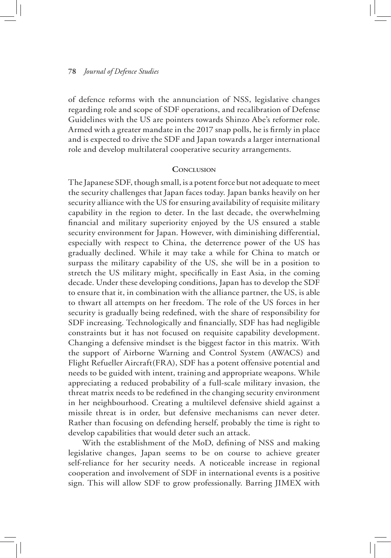of defence reforms with the annunciation of NSS, legislative changes regarding role and scope of SDF operations, and recalibration of Defense Guidelines with the US are pointers towards Shinzo Abe's reformer role. Armed with a greater mandate in the 2017 snap polls, he is firmly in place and is expected to drive the SDF and Japan towards a larger international role and develop multilateral cooperative security arrangements.

#### **CONCLUSION**

The Japanese SDF, though small, is a potent force but not adequate to meet the security challenges that Japan faces today. Japan banks heavily on her security alliance with the US for ensuring availability of requisite military capability in the region to deter. In the last decade, the overwhelming financial and military superiority enjoyed by the US ensured a stable security environment for Japan. However, with diminishing differential, especially with respect to China, the deterrence power of the US has gradually declined. While it may take a while for China to match or surpass the military capability of the US, she will be in a position to stretch the US military might, specifically in East Asia, in the coming decade. Under these developing conditions, Japan has to develop the SDF to ensure that it, in combination with the alliance partner, the US, is able to thwart all attempts on her freedom. The role of the US forces in her security is gradually being redefined, with the share of responsibility for SDF increasing. Technologically and financially, SDF has had negligible constraints but it has not focused on requisite capability development. Changing a defensive mindset is the biggest factor in this matrix. With the support of Airborne Warning and Control System (AWACS) and Flight Refueller Aircraft(FRA), SDF has a potent offensive potential and needs to be guided with intent, training and appropriate weapons. While appreciating a reduced probability of a full-scale military invasion, the threat matrix needs to be redefined in the changing security environment in her neighbourhood. Creating a multilevel defensive shield against a missile threat is in order, but defensive mechanisms can never deter. Rather than focusing on defending herself, probably the time is right to develop capabilities that would deter such an attack.

With the establishment of the MoD, defining of NSS and making legislative changes, Japan seems to be on course to achieve greater self-reliance for her security needs. A noticeable increase in regional cooperation and involvement of SDF in international events is a positive sign. This will allow SDF to grow professionally. Barring JIMEX with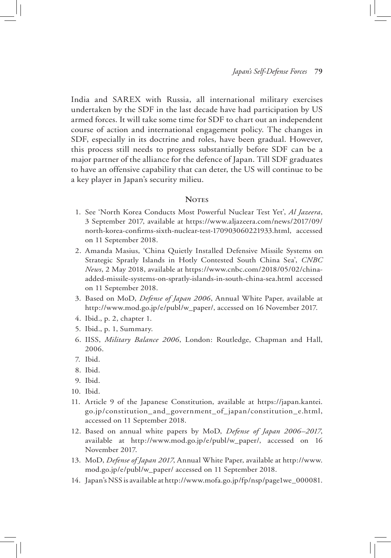India and SAREX with Russia, all international military exercises undertaken by the SDF in the last decade have had participation by US armed forces. It will take some time for SDF to chart out an independent course of action and international engagement policy. The changes in SDF, especially in its doctrine and roles, have been gradual. However, this process still needs to progress substantially before SDF can be a major partner of the alliance for the defence of Japan. Till SDF graduates to have an offensive capability that can deter, the US will continue to be a key player in Japan's security milieu.

#### **NOTES**

- 1. See 'North Korea Conducts Most Powerful Nuclear Test Yet', *Al Jazeera*, 3 September 2017, available at https://www.aljazeera.com/news/2017/09/ north-korea-confirms-sixth-nuclear-test-170903060221933.html, accessed on 11 September 2018.
- 2. Amanda Masius, 'China Quietly Installed Defensive Missile Systems on Strategic Spratly Islands in Hotly Contested South China Sea', *CNBC News*, 2 May 2018, available at https://www.cnbc.com/2018/05/02/chinaadded-missile-systems-on-spratly-islands-in-south-china-sea.html accessed on 11 September 2018.
- 3. Based on MoD, *Defense of Japan 2006*, Annual White Paper, available at http://www.mod.go.jp/e/publ/w\_paper/, accessed on 16 November 2017.
- 4. Ibid., p. 2, chapter 1.
- 5. Ibid., p. 1, Summary.
- 6. IISS, *Military Balance 2006*, London: Routledge, Chapman and Hall, 2006.
- 7. Ibid.
- 8. Ibid.
- 9. Ibid.
- 10. Ibid.
- 11. Article 9 of the Japanese Constitution, available at https://japan.kantei. go.jp/constitution\_and\_government\_of\_japan/constitution\_e.html, accessed on 11 September 2018.
- 12. Based on annual white papers by MoD, *Defense of Japan 2006–2017*, available at http://www.mod.go.jp/e/publ/w\_paper/, accessed on 16 November 2017.
- 13. MoD, *Defense of Japan 2017*, Annual White Paper, available at http://www. mod.go.jp/e/publ/w\_paper/ accessed on 11 September 2018.
- 14. Japan's NSS is available at http://www.mofa.go.jp/fp/nsp/page1we\_000081.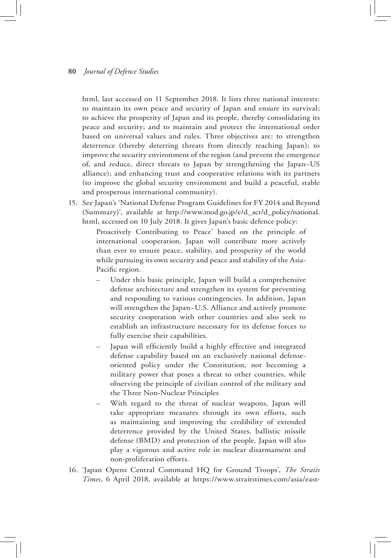html, last accessed on 11 September 2018. It lists three national interests: to maintain its own peace and security of Japan and ensure its survival; to achieve the prosperity of Japan and its people, thereby consolidating its peace and security; and to maintain and protect the international order based on universal values and rules. Three objectives are: to strengthen deterrence (thereby deterring threats from directly reaching Japan); to improve the security environment of the region (and prevent the emergence of, and reduce, direct threats to Japan by strengthening the Japan–US alliance); and enhancing trust and cooperative relations with its partners (to improve the global security environment and build a peaceful, stable and prosperous international community).

15. See Japan's 'National Defense Program Guidelines for FY 2014 and Beyond (Summary)', available at http://www.mod.go.jp/e/d\_act/d\_policy/national. html, accessed on 10 July 2018. It gives Japan's basic defence policy:

> Proactively Contributing to Peace' based on the principle of international cooperation, Japan will contribute more actively than ever to ensure peace, stability, and prosperity of the world while pursuing its own security and peace and stability of the Asia-Pacific region.

- Under this basic principle, Japan will build a comprehensive defense architecture and strengthen its system for preventing and responding to various contingencies. In addition, Japan will strengthen the Japan–U.S. Alliance and actively promote security cooperation with other countries and also seek to establish an infrastructure necessary for its defense forces to fully exercise their capabilities.
- Japan will efficiently build a highly effective and integrated defense capability based on an exclusively national defenseoriented policy under the Constitution, not becoming a military power that poses a threat to other countries, while observing the principle of civilian control of the military and the Three Non-Nuclear Principles
- With regard to the threat of nuclear weapons, Japan will take appropriate measures through its own efforts, such as maintaining and improving the credibility of extended deterrence provided by the United States, ballistic missile defense (BMD) and protection of the people. Japan will also play a vigorous and active role in nuclear disarmament and non-proliferation efforts.
- 16. 'Japan Opens Central Command HQ for Ground Troops', *The Straits Times*, 6 April 2018, available at https://www.straitstimes.com/asia/east-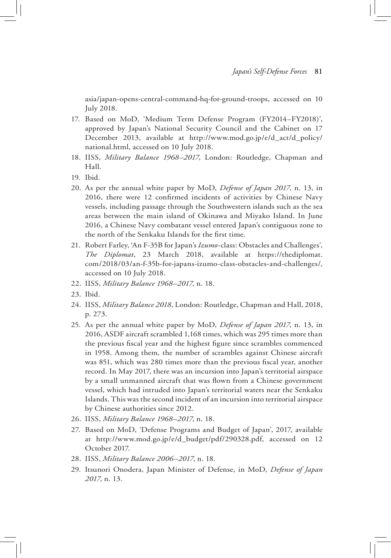asia/japan-opens-central-command-hq-for-ground-troops, accessed on 10 July 2018.

- 17. Based on MoD, 'Medium Term Defense Program (FY2014–FY2018)', approved by Japan's National Security Council and the Cabinet on 17 December 2013, available at http://www.mod.go.jp/e/d\_act/d\_policy/ national.html, accessed on 10 July 2018.
- 18. IISS, *Military Balance 1968–2017*, London: Routledge, Chapman and Hall.
- 19. Ibid.
- 20. As per the annual white paper by MoD, *Defense of Japan 2017*, n. 13, in 2016, there were 12 confirmed incidents of activities by Chinese Navy vessels, including passage through the Southwestern islands such as the sea areas between the main island of Okinawa and Miyako Island. In June 2016, a Chinese Navy combatant vessel entered Japan's contiguous zone to the north of the Senkaku Islands for the first time.
- 21. Robert Farley, 'An F-35B for Japan's *Izumo*-class: Obstacles and Challenges', *The Diplomat*, 23 March 2018, available at https://thediplomat. com/2018/03/an-f-35b-for-japans-izumo-class-obstacles-and-challenges/, accessed on 10 July 2018.
- 22. IISS, *Military Balance 1968–2017*, n. 18.
- 23. Ibid.
- 24. IISS, *Military Balance 2018*, London: Routledge, Chapman and Hall, 2018, p. 273.
- 25. As per the annual white paper by MoD, *Defense of Japan 2017*, n. 13, in 2016, ASDF aircraft scrambled 1,168 times, which was 295 times more than the previous fiscal year and the highest figure since scrambles commenced in 1958. Among them, the number of scrambles against Chinese aircraft was 851, which was 280 times more than the previous fiscal year, another record. In May 2017, there was an incursion into Japan's territorial airspace by a small unmanned aircraft that was flown from a Chinese government vessel, which had intruded into Japan's territorial waters near the Senkaku Islands. This was the second incident of an incursion into territorial airspace by Chinese authorities since 2012.
- 26. IISS, *Military Balance 1968–2017*, n. 18.
- 27. Based on MoD, 'Defense Programs and Budget of Japan', 2017, available at http://www.mod.go.jp/e/d\_budget/pdf/290328.pdf, accessed on 12 October 2017.
- 28. IISS, *Military Balance 2006–2017*, n. 18.
- 29. Itsunori Onodera, Japan Minister of Defense, in MoD, *Defense of Japan 2017*, n. 13.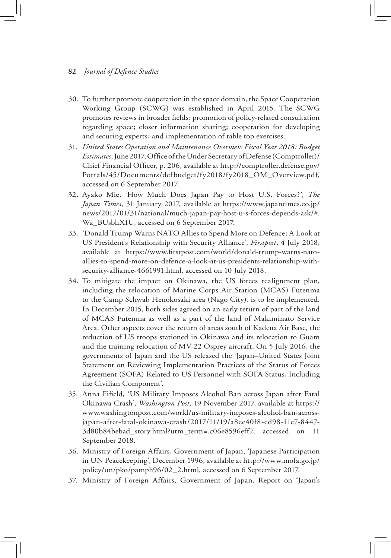- 30. To further promote cooperation in the space domain, the Space Cooperation Working Group (SCWG) was established in April 2015. The SCWG promotes reviews in broader fields: promotion of policy-related consultation regarding space; closer information sharing; cooperation for developing and securing experts; and implementation of table top exercises.
- 31. *United States Operation and Maintenance Overview Fiscal Year 2018: Budget Estimates*, June 2017, Office of the Under Secretary of Defense (Comptroller)/ Chief Financial Officer, p. 206, available at http://comptroller.defense.gov/ Portals/45/Documents/defbudget/fy2018/fy2018\_OM\_Overview.pdf, accessed on 6 September 2017.
- 32. Ayako Mie, 'How Much Does Japan Pay to Host U.S. Forces?', *The Japan Times*, 31 January 2017, available at https://www.japantimes.co.jp/ news/2017/01/31/national/much-japan-pay-host-u-s-forces-depends-ask/#. Wa\_BUsbhXIU, accessed on 6 September 2017.
- 33. 'Donald Trump Warns NATO Allies to Spend More on Defence: A Look at US President's Relationship with Security Alliance', *Firstpost*, 4 July 2018, available at https://www.firstpost.com/world/donald-trump-warns-natoallies-to-spend-more-on-defence-a-look-at-us-presidents-relationship-withsecurity-alliance-4661991.html, accessed on 10 July 2018.
- 34. To mitigate the impact on Okinawa, the US forces realignment plan, including the relocation of Marine Corps Air Station (MCAS) Futenma to the Camp Schwab Henokosaki area (Nago City), is to be implemented. In December 2015, both sides agreed on an early return of part of the land of MCAS Futenma as well as a part of the land of Makiminato Service Area. Other aspects cover the return of areas south of Kadena Air Base, the reduction of US troops stationed in Okinawa and its relocation to Guam and the training relocation of MV-22 Osprey aircraft. On 5 July 2016, the governments of Japan and the US released the 'Japan–United States Joint Statement on Reviewing Implementation Practices of the Status of Forces Agreement (SOFA) Related to US Personnel with SOFA Status, Including the Civilian Component'.
- 35. Anna Fifield*,* 'US Military Imposes Alcohol Ban across Japan after Fatal Okinawa Crash', *Washington Post*, 19 November 2017, available at https:// www.washingtonpost.com/world/us-military-imposes-alcohol-ban-acrossjapan-after-fatal-okinawa-crash/2017/11/19/a8ce40f8-cd98-11e7-8447- 3d80b84bebad\_story.html?utm\_term=.c06e8596eff7, accessed on 11 September 2018.
- 36. Ministry of Foreign Affairs, Government of Japan, 'Japanese Participation in UN Peacekeeping', December 1996, available at http://www.mofa.go.jp/ policy/un/pko/pamph96/02\_2.html, accessed on 6 September 2017.
- 37. Ministry of Foreign Affairs, Government of Japan, Report on 'Japan's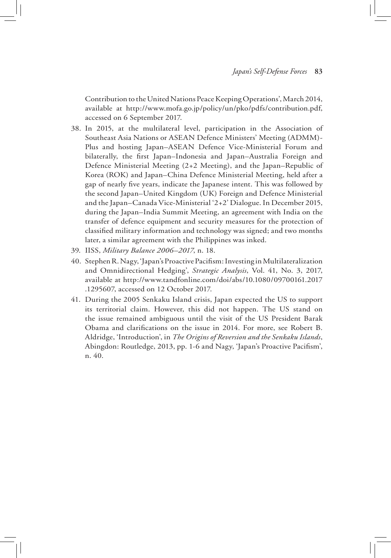Contribution to the United Nations Peace Keeping Operations', March 2014, available at http://www.mofa.go.jp/policy/un/pko/pdfs/contribution.pdf, accessed on 6 September 2017.

- 38. In 2015, at the multilateral level, participation in the Association of Southeast Asia Nations or ASEAN Defence Ministers' Meeting (ADMM)- Plus and hosting Japan–ASEAN Defence Vice-Ministerial Forum and bilaterally, the first Japan–Indonesia and Japan–Australia Foreign and Defence Ministerial Meeting (2+2 Meeting), and the Japan–Republic of Korea (ROK) and Japan–China Defence Ministerial Meeting, held after a gap of nearly five years, indicate the Japanese intent. This was followed by the second Japan–United Kingdom (UK) Foreign and Defence Ministerial and the Japan–Canada Vice-Ministerial '2+2' Dialogue. In December 2015, during the Japan–India Summit Meeting, an agreement with India on the transfer of defence equipment and security measures for the protection of classified military information and technology was signed; and two months later, a similar agreement with the Philippines was inked.
- 39. IISS, *Military Balance 2006–2017*, n. 18.
- 40. Stephen R. Nagy, 'Japan's Proactive Pacifism: Investing in Multilateralization and Omnidirectional Hedging', *Strategic Analysis*, Vol. 41, No. 3, 2017, available at http://www.tandfonline.com/doi/abs/10.1080/09700161.2017 .1295607, accessed on 12 October 2017.
- 41. During the 2005 Senkaku Island crisis, Japan expected the US to support its territorial claim. However, this did not happen. The US stand on the issue remained ambiguous until the visit of the US President Barak Obama and clarifications on the issue in 2014. For more, see Robert B. Aldridge, 'Introduction', in *The Origins of Reversion and the Senkaku Islands*, Abingdon: Routledge, 2013, pp. 1-6 and Nagy, 'Japan's Proactive Pacifism', n. 40.